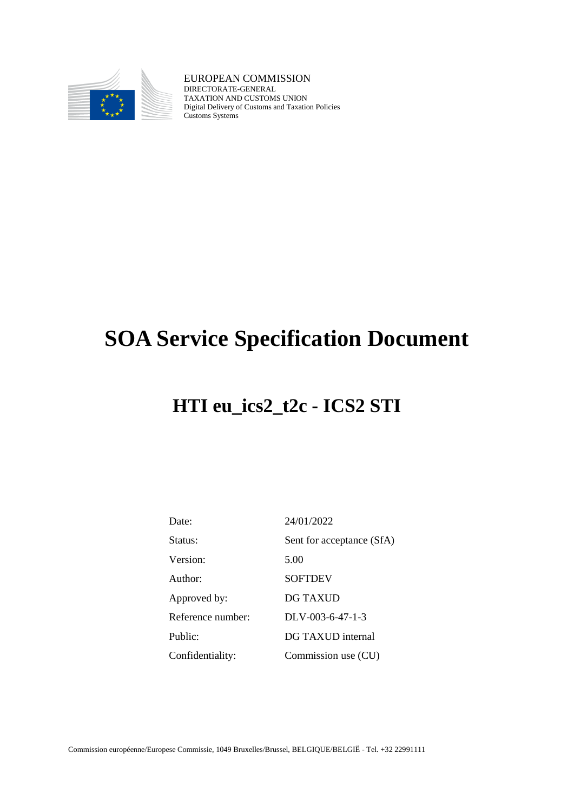

EUROPEAN COMMISSION DIRECTORATE-GENERAL TAXATION AND CUSTOMS UNION Digital Delivery of Customs and Taxation Policies Customs Systems

# **SOA Service Specification Document**

## **HTI eu\_ics2\_t2c - ICS2 STI**

| Date:             | 24/01/2022                |
|-------------------|---------------------------|
| Status:           | Sent for acceptance (SfA) |
| Version:          | 5.00                      |
| Author:           | <b>SOFTDEV</b>            |
| Approved by:      | <b>DG TAXUD</b>           |
| Reference number: | $DLV-003-6-47-1-3$        |
| Public:           | DG TAXUD internal         |
| Confidentiality:  | Commission use (CU)       |

Commission européenne/Europese Commissie, 1049 Bruxelles/Brussel, BELGIQUE/BELGIË - Tel. +32 22991111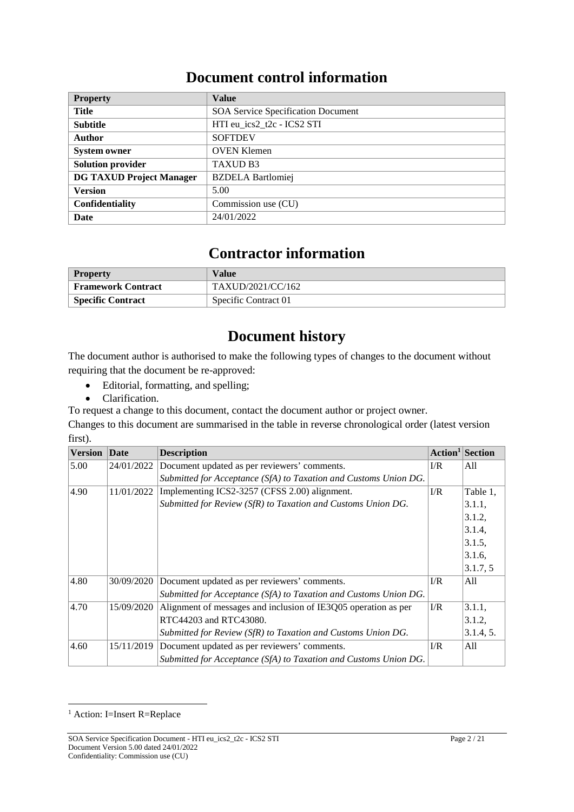### **Document control information**

| <b>Property</b>                 | <b>Value</b>                              |
|---------------------------------|-------------------------------------------|
| Title                           | <b>SOA Service Specification Document</b> |
| <b>Subtitle</b>                 | HTI eu ics2 t2c - ICS2 STI                |
| <b>Author</b>                   | <b>SOFTDEV</b>                            |
| <b>System owner</b>             | <b>OVEN Klemen</b>                        |
| <b>Solution provider</b>        | <b>TAXUD B3</b>                           |
| <b>DG TAXUD Project Manager</b> | <b>BZDELA</b> Bartlomiej                  |
| <b>Version</b>                  | 5.00                                      |
| <b>Confidentiality</b>          | Commission use (CU)                       |
| Date                            | 24/01/2022                                |

### **Contractor information**

| <b>Property</b>           | Value                |
|---------------------------|----------------------|
| <b>Framework Contract</b> | TAXUD/2021/CC/162    |
| <b>Specific Contract</b>  | Specific Contract 01 |

### **Document history**

The document author is authorised to make the following types of changes to the document without requiring that the document be re-approved:

- Editorial, formatting, and spelling;
- Clarification.

To request a change to this document, contact the document author or project owner.

Changes to this document are summarised in the table in reverse chronological order (latest version first).

| <b>Version</b> | Date       | <b>Description</b>                                               |            | Action <sup>1</sup>  Section |
|----------------|------------|------------------------------------------------------------------|------------|------------------------------|
| 5.00           | 24/01/2022 | Document updated as per reviewers' comments.                     | I/R        | All                          |
|                |            | Submitted for Acceptance (SfA) to Taxation and Customs Union DG. |            |                              |
| 4.90           | 11/01/2022 | Implementing ICS2-3257 (CFSS 2.00) alignment.                    | I/R        | Table 1,                     |
|                |            | Submitted for Review (SfR) to Taxation and Customs Union DG.     |            | 3.1.1,                       |
|                |            |                                                                  |            | 3.1.2,                       |
|                |            |                                                                  |            | 3.1.4,                       |
|                |            |                                                                  |            | 3.1.5,                       |
|                |            |                                                                  |            | 3.1.6,                       |
|                |            |                                                                  |            | 3.1.7, 5                     |
| 4.80           | 30/09/2020 | Document updated as per reviewers' comments.                     | $\Gamma/R$ | All                          |
|                |            | Submitted for Acceptance (SfA) to Taxation and Customs Union DG. |            |                              |
| 4.70           | 15/09/2020 | Alignment of messages and inclusion of IE3Q05 operation as per   | $\Gamma/R$ | 3.1.1,                       |
|                |            | RTC44203 and RTC43080.                                           |            | 3.1.2,                       |
|                |            | Submitted for Review (SfR) to Taxation and Customs Union DG.     |            | 3.1.4, 5.                    |
| 4.60           | 15/11/2019 | Document updated as per reviewers' comments.                     | $\Gamma/R$ | All                          |
|                |            | Submitted for Acceptance (SfA) to Taxation and Customs Union DG. |            |                              |

<sup>&</sup>lt;sup>1</sup> Action: I=Insert R=Replace

SOA Service Specification Document - HTI eu\_ics2\_t2c - ICS2 STI Page 2 / 21 Document Version 5.00 dated 24/01/2022 Confidentiality: Commission use (CU)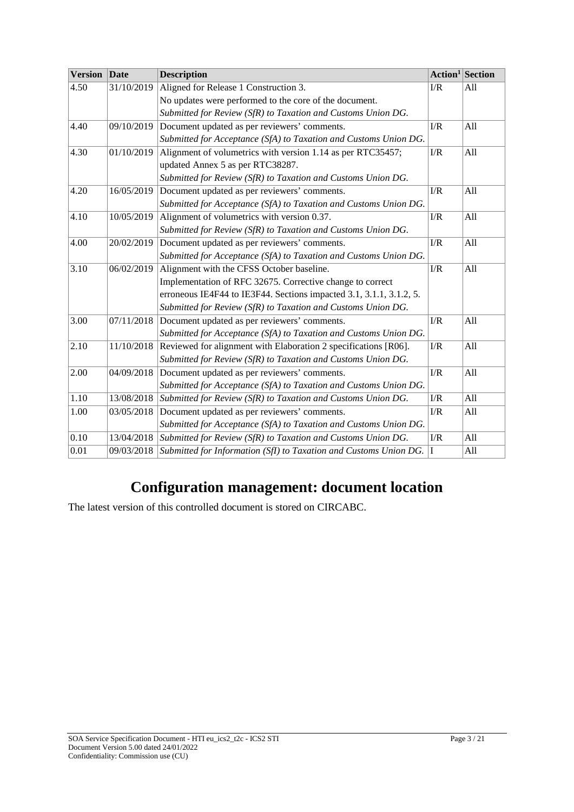| <b>Version</b> | Date       | <b>Description</b>                                                  |            | Action <sup>1</sup> Section |
|----------------|------------|---------------------------------------------------------------------|------------|-----------------------------|
| 4.50           | 31/10/2019 | Aligned for Release 1 Construction 3.                               | I/R        | All                         |
|                |            | No updates were performed to the core of the document.              |            |                             |
|                |            | Submitted for Review (SfR) to Taxation and Customs Union DG.        |            |                             |
| 4.40           | 09/10/2019 | Document updated as per reviewers' comments.                        | $\Gamma/R$ | All                         |
|                |            | Submitted for Acceptance (SfA) to Taxation and Customs Union DG.    |            |                             |
| 4.30           | 01/10/2019 | Alignment of volumetrics with version 1.14 as per RTC35457;         | I/R        | All                         |
|                |            | updated Annex 5 as per RTC38287.                                    |            |                             |
|                |            | Submitted for Review (SfR) to Taxation and Customs Union DG.        |            |                             |
| 4.20           | 16/05/2019 | Document updated as per reviewers' comments.                        | I/R        | All                         |
|                |            | Submitted for Acceptance (SfA) to Taxation and Customs Union DG.    |            |                             |
| 4.10           | 10/05/2019 | Alignment of volumetrics with version 0.37.                         | I/R        | All                         |
|                |            | Submitted for Review (SfR) to Taxation and Customs Union DG.        |            |                             |
| 4.00           | 20/02/2019 | Document updated as per reviewers' comments.                        | I/R        | All                         |
|                |            | Submitted for Acceptance (SfA) to Taxation and Customs Union DG.    |            |                             |
| 3.10           | 06/02/2019 | Alignment with the CFSS October baseline.                           | I/R        | All                         |
|                |            | Implementation of RFC 32675. Corrective change to correct           |            |                             |
|                |            | erroneous IE4F44 to IE3F44. Sections impacted 3.1, 3.1.1, 3.1.2, 5. |            |                             |
|                |            | Submitted for Review (SfR) to Taxation and Customs Union DG.        |            |                             |
| 3.00           | 07/11/2018 | Document updated as per reviewers' comments.                        | I/R        | All                         |
|                |            | Submitted for Acceptance (SfA) to Taxation and Customs Union DG.    |            |                             |
| 2.10           | 11/10/2018 | Reviewed for alignment with Elaboration 2 specifications [R06].     | I/R        | All                         |
|                |            | Submitted for Review (SfR) to Taxation and Customs Union DG.        |            |                             |
| 2.00           | 04/09/2018 | Document updated as per reviewers' comments.                        | I/R        | All                         |
|                |            | Submitted for Acceptance (SfA) to Taxation and Customs Union DG.    |            |                             |
| 1.10           | 13/08/2018 | Submitted for Review (SfR) to Taxation and Customs Union DG.        | I/R        | All                         |
| 1.00           | 03/05/2018 | Document updated as per reviewers' comments.                        | I/R        | All                         |
|                |            | Submitted for Acceptance (SfA) to Taxation and Customs Union DG.    |            |                             |
| 0.10           | 13/04/2018 | Submitted for Review (SfR) to Taxation and Customs Union DG.        | $\rm I/R$  | All                         |
| 0.01           | 09/03/2018 | Submitted for Information (SfI) to Taxation and Customs Union DG.   | I          | All                         |

## **Configuration management: document location**

The latest version of this controlled document is stored on CIRCABC.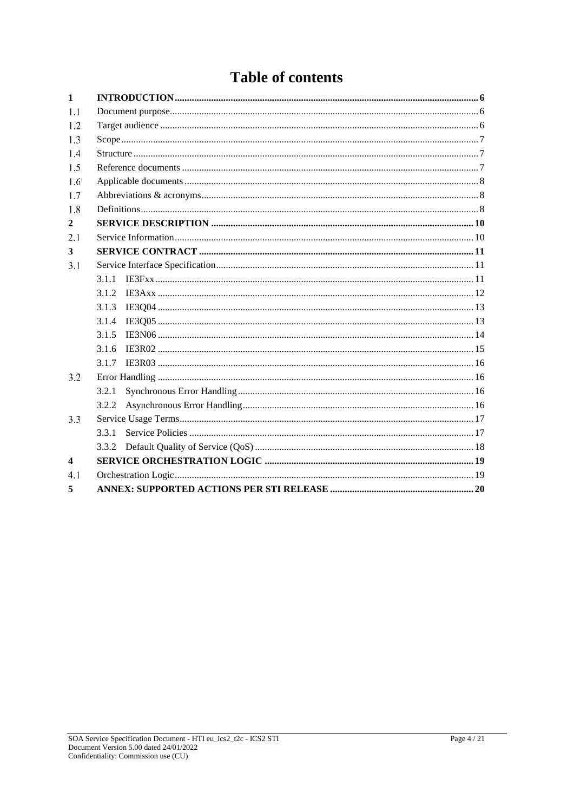## **Table of contents**

| $\mathbf{1}$            |       |  |  |
|-------------------------|-------|--|--|
| 1.1                     |       |  |  |
| 1.2                     |       |  |  |
| 1.3                     |       |  |  |
| 14                      |       |  |  |
| 1.5                     |       |  |  |
| 1.6                     |       |  |  |
| 1.7                     |       |  |  |
| 1.8                     |       |  |  |
| $\mathbf{2}$            |       |  |  |
| 2.1                     |       |  |  |
| 3                       |       |  |  |
| 3.1                     |       |  |  |
|                         | 3.1.1 |  |  |
|                         | 3.1.2 |  |  |
|                         | 3.1.3 |  |  |
|                         | 3.1.4 |  |  |
|                         | 3.1.5 |  |  |
|                         | 3.1.6 |  |  |
|                         | 3.1.7 |  |  |
| 3.2                     |       |  |  |
|                         | 3.2.1 |  |  |
|                         | 3.2.2 |  |  |
| 3.3                     |       |  |  |
|                         | 3.3.1 |  |  |
|                         | 3.3.2 |  |  |
| $\overline{\mathbf{4}}$ |       |  |  |
| 4.1                     |       |  |  |
| 5                       |       |  |  |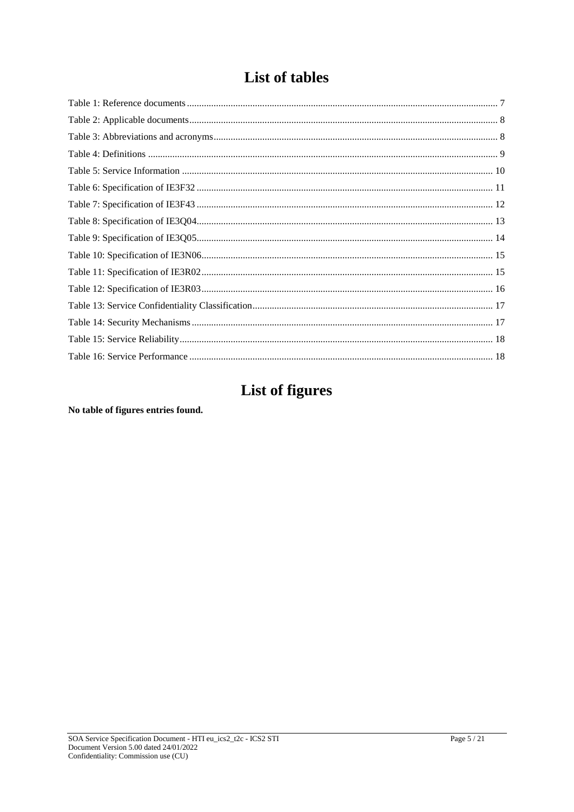## List of tables

## **List of figures**

No table of figures entries found.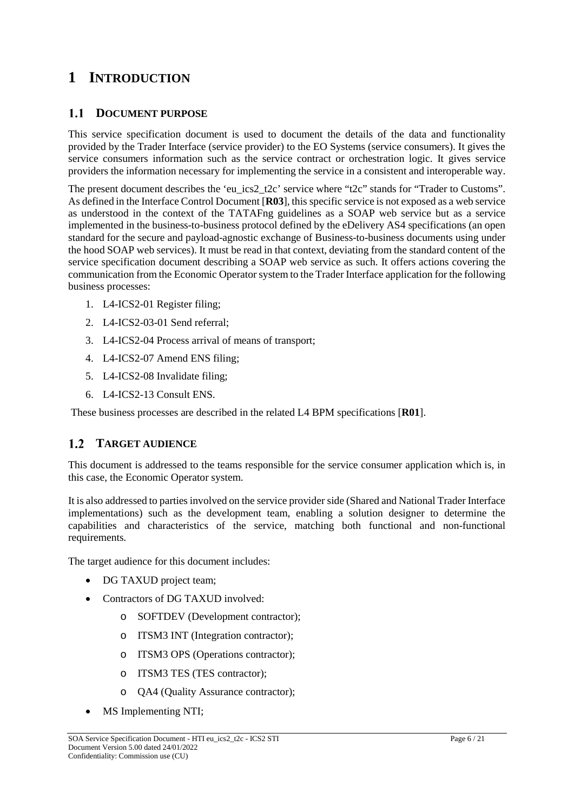### **1 INTRODUCTION**

#### **DOCUMENT PURPOSE**

This service specification document is used to document the details of the data and functionality provided by the Trader Interface (service provider) to the EO Systems (service consumers). It gives the service consumers information such as the service contract or orchestration logic. It gives service providers the information necessary for implementing the service in a consistent and interoperable way.

The present document describes the 'eu ics2 t2c' service where "t2c" stands for "Trader to Customs". As defined in the Interface Control Document [**R03**], this specific service is not exposed as a web service as understood in the context of the TATAFng guidelines as a SOAP web service but as a service implemented in the business-to-business protocol defined by the eDelivery AS4 specifications (an open standard for the secure and payload-agnostic exchange of Business-to-business documents using under the hood SOAP web services). It must be read in that context, deviating from the standard content of the service specification document describing a SOAP web service as such. It offers actions covering the communication from the Economic Operator system to the Trader Interface application for the following business processes:

- 1. L4-ICS2-01 Register filing;
- 2. L4-ICS2-03-01 Send referral;
- 3. L4-ICS2-04 Process arrival of means of transport;
- 4. L4-ICS2-07 Amend ENS filing;
- 5. L4-ICS2-08 Invalidate filing;
- 6. L4-ICS2-13 Consult ENS.

These business processes are described in the related L4 BPM specifications [**R01**].

#### **TARGET AUDIENCE**

This document is addressed to the teams responsible for the service consumer application which is, in this case, the Economic Operator system.

It is also addressed to parties involved on the service provider side (Shared and National Trader Interface implementations) such as the development team, enabling a solution designer to determine the capabilities and characteristics of the service, matching both functional and non-functional requirements.

The target audience for this document includes:

- DG TAXUD project team;
- Contractors of DG TAXUD involved:
	- o SOFTDEV (Development contractor);
	- o ITSM3 INT (Integration contractor);
	- o ITSM3 OPS (Operations contractor);
	- o ITSM3 TES (TES contractor);
	- o QA4 (Quality Assurance contractor);
- MS Implementing NTI;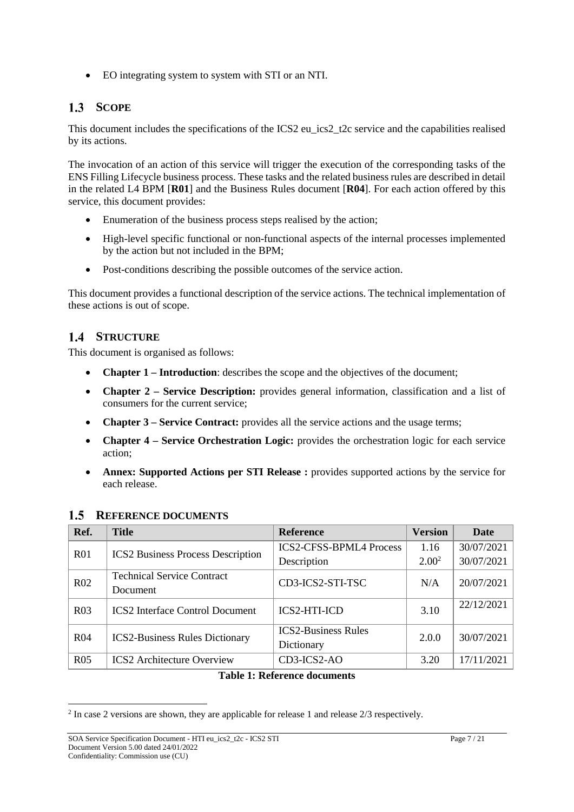EO integrating system to system with STI or an NTI.

### 1.3 SCOPE

This document includes the specifications of the ICS2 eu\_ics2\_t2c service and the capabilities realised by its actions.

The invocation of an action of this service will trigger the execution of the corresponding tasks of the ENS Filling Lifecycle business process. These tasks and the related business rules are described in detail in the related L4 BPM [**R01**] and the Business Rules document [**R04**]. For each action offered by this service, this document provides:

- Enumeration of the business process steps realised by the action;
- High-level specific functional or non-functional aspects of the internal processes implemented by the action but not included in the BPM;
- Post-conditions describing the possible outcomes of the service action.

This document provides a functional description of the service actions. The technical implementation of these actions is out of scope.

### **STRUCTURE**

This document is organised as follows:

- **Chapter 1 – Introduction**: describes the scope and the objectives of the document;
- **Chapter 2 – Service Description:** provides general information, classification and a list of consumers for the current service;
- **Chapter 3 Service Contract:** provides all the service actions and the usage terms;
- **Chapter 4 – Service Orchestration Logic:** provides the orchestration logic for each service action;
- **Annex: Supported Actions per STI Release :** provides supported actions by the service for each release.

| Ref.            | <b>Title</b>                             | <b>Reference</b>               | <b>Version</b>    | <b>Date</b> |
|-----------------|------------------------------------------|--------------------------------|-------------------|-------------|
| R <sub>01</sub> |                                          | <b>ICS2-CFSS-BPML4 Process</b> | 1.16              | 30/07/2021  |
|                 | <b>ICS2</b> Business Process Description | Description                    | 2.00 <sup>2</sup> | 30/07/2021  |
| R <sub>02</sub> | <b>Technical Service Contract</b>        | CD3-ICS2-STI-TSC               | N/A               | 20/07/2021  |
|                 | Document                                 |                                |                   |             |
| R <sub>03</sub> | <b>ICS2</b> Interface Control Document   | <b>ICS2-HTI-ICD</b>            | 3.10              | 22/12/2021  |
|                 |                                          |                                |                   |             |
| R <sub>04</sub> | <b>ICS2-Business Rules Dictionary</b>    | <b>ICS2-Business Rules</b>     | 2.0.0             | 30/07/2021  |
|                 |                                          | Dictionary                     |                   |             |
| R <sub>05</sub> | <b>ICS2</b> Architecture Overview        | CD3-ICS2-AO                    | 3.20              | 17/11/2021  |
|                 |                                          |                                |                   |             |

#### 1.5 REFERENCE DOCUMENTS

**Table 1: Reference documents**

<sup>2</sup> In case 2 versions are shown, they are applicable for release 1 and release 2/3 respectively.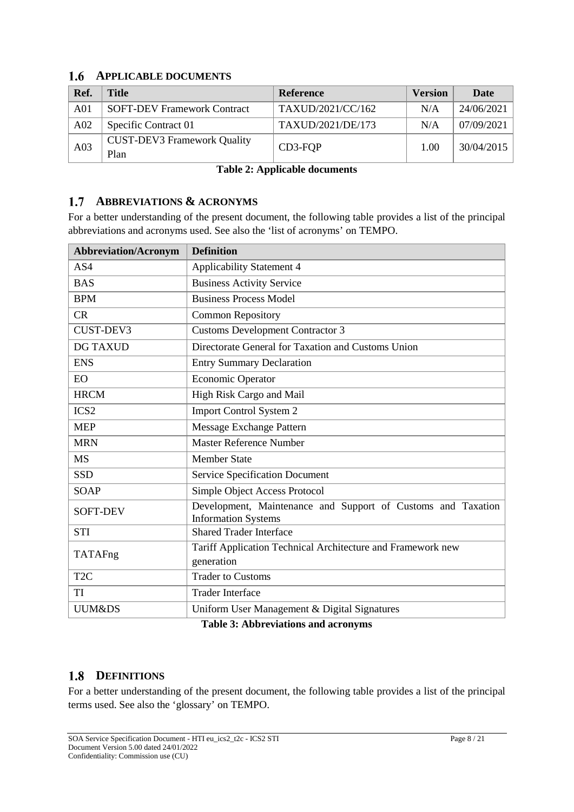### **APPLICABLE DOCUMENTS**

| Ref.            | Title                                      | <b>Reference</b>  | <b>Version</b> | Date       |
|-----------------|--------------------------------------------|-------------------|----------------|------------|
| A <sub>01</sub> | <b>SOFT-DEV Framework Contract</b>         | TAXUD/2021/CC/162 | N/A            | 24/06/2021 |
| A <sub>02</sub> | Specific Contract 01                       | TAXUD/2021/DE/173 | N/A            | 07/09/2021 |
| A03             | <b>CUST-DEV3 Framework Quality</b><br>Plan | CD3-FOP           | 1.00           | 30/04/2015 |

**Table 2: Applicable documents**

### **ABBREVIATIONS & ACRONYMS**

For a better understanding of the present document, the following table provides a list of the principal abbreviations and acronyms used. See also the 'list of acronyms' on TEMPO.

| <b>Abbreviation/Acronym</b> | <b>Definition</b>                                                                          |
|-----------------------------|--------------------------------------------------------------------------------------------|
| AS4                         | <b>Applicability Statement 4</b>                                                           |
| <b>BAS</b>                  | <b>Business Activity Service</b>                                                           |
| <b>BPM</b>                  | <b>Business Process Model</b>                                                              |
| CR                          | <b>Common Repository</b>                                                                   |
| CUST-DEV3                   | <b>Customs Development Contractor 3</b>                                                    |
| <b>DG TAXUD</b>             | Directorate General for Taxation and Customs Union                                         |
| <b>ENS</b>                  | <b>Entry Summary Declaration</b>                                                           |
| EO                          | <b>Economic Operator</b>                                                                   |
| <b>HRCM</b>                 | High Risk Cargo and Mail                                                                   |
| ICS <sub>2</sub>            | <b>Import Control System 2</b>                                                             |
| <b>MEP</b>                  | Message Exchange Pattern                                                                   |
| <b>MRN</b>                  | <b>Master Reference Number</b>                                                             |
| <b>MS</b>                   | <b>Member State</b>                                                                        |
| <b>SSD</b>                  | <b>Service Specification Document</b>                                                      |
| <b>SOAP</b>                 | Simple Object Access Protocol                                                              |
| <b>SOFT-DEV</b>             | Development, Maintenance and Support of Customs and Taxation<br><b>Information Systems</b> |
| <b>STI</b>                  | <b>Shared Trader Interface</b>                                                             |
| TATAFng                     | Tariff Application Technical Architecture and Framework new<br>generation                  |
| T <sub>2</sub> C            | <b>Trader to Customs</b>                                                                   |
| TI                          | <b>Trader Interface</b>                                                                    |
| <b>UUM&amp;DS</b>           | Uniform User Management & Digital Signatures                                               |

**Table 3: Abbreviations and acronyms**

### 1.8 DEFINITIONS

For a better understanding of the present document, the following table provides a list of the principal terms used. See also the 'glossary' on TEMPO.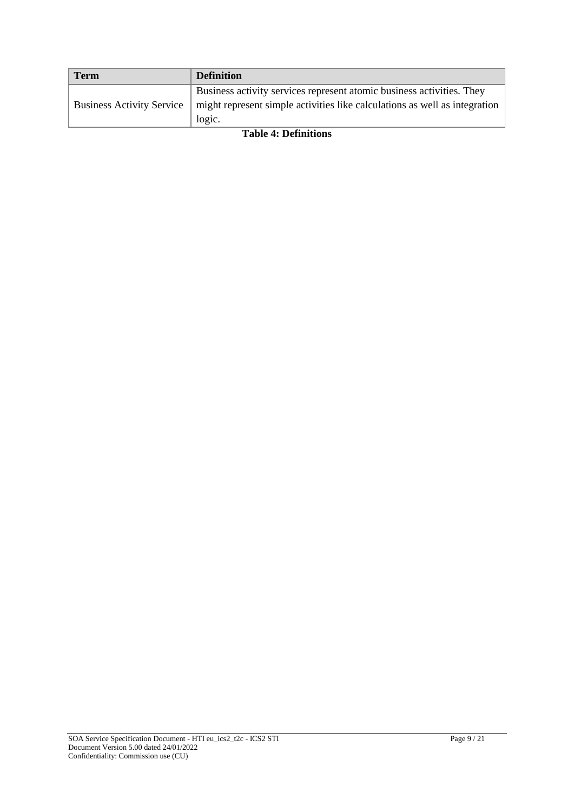| <b>Term</b>                      | <b>Definition</b>                                                          |
|----------------------------------|----------------------------------------------------------------------------|
|                                  | Business activity services represent atomic business activities. They      |
| <b>Business Activity Service</b> | might represent simple activities like calculations as well as integration |
|                                  | logic.                                                                     |

#### **Table 4: Definitions**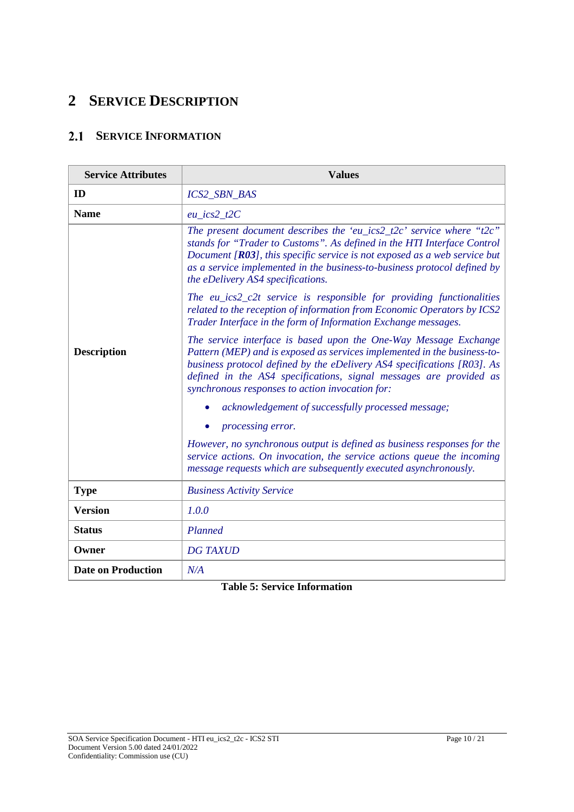### **2 SERVICE DESCRIPTION**

### **SERVICE INFORMATION**

| <b>Service Attributes</b> | <b>Values</b>                                                                                                                                                                                                                                                                                                                                    |
|---------------------------|--------------------------------------------------------------------------------------------------------------------------------------------------------------------------------------------------------------------------------------------------------------------------------------------------------------------------------------------------|
| ID                        | <b>ICS2_SBN_BAS</b>                                                                                                                                                                                                                                                                                                                              |
| <b>Name</b>               | $eu\_ics2\_t2C$                                                                                                                                                                                                                                                                                                                                  |
|                           | The present document describes the 'eu_ics2_t2c' service where "t2c"<br>stands for "Trader to Customs". As defined in the HTI Interface Control<br>Document $[R03]$ , this specific service is not exposed as a web service but<br>as a service implemented in the business-to-business protocol defined by<br>the eDelivery AS4 specifications. |
|                           | The eu_ics2_c2t service is responsible for providing functionalities<br>related to the reception of information from Economic Operators by ICS2<br>Trader Interface in the form of Information Exchange messages.                                                                                                                                |
| <b>Description</b>        | The service interface is based upon the One-Way Message Exchange<br>Pattern (MEP) and is exposed as services implemented in the business-to-<br>business protocol defined by the eDelivery AS4 specifications [R03]. As<br>defined in the AS4 specifications, signal messages are provided as<br>synchronous responses to action invocation for: |
|                           | acknowledgement of successfully processed message;                                                                                                                                                                                                                                                                                               |
|                           | processing error.                                                                                                                                                                                                                                                                                                                                |
|                           | However, no synchronous output is defined as business responses for the<br>service actions. On invocation, the service actions queue the incoming<br>message requests which are subsequently executed asynchronously.                                                                                                                            |
| <b>Type</b>               | <b>Business Activity Service</b>                                                                                                                                                                                                                                                                                                                 |
| <b>Version</b>            | 1.0.0                                                                                                                                                                                                                                                                                                                                            |
| <b>Status</b>             | Planned                                                                                                                                                                                                                                                                                                                                          |
| Owner                     | <b>DG TAXUD</b>                                                                                                                                                                                                                                                                                                                                  |
| <b>Date on Production</b> | N/A                                                                                                                                                                                                                                                                                                                                              |

**Table 5: Service Information**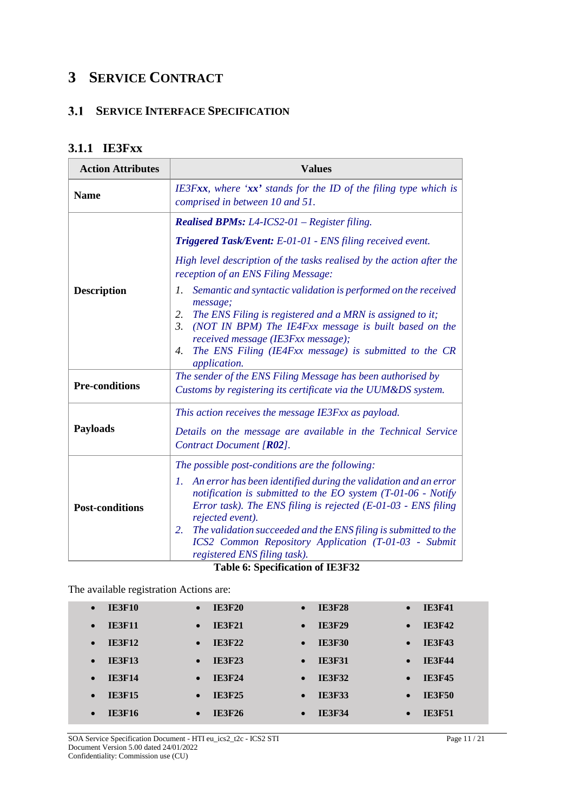### **3 SERVICE CONTRACT**

### **SERVICE INTERFACE SPECIFICATION**

### **3.1.1 IE3Fxx**

| <b>Action Attributes</b> | <b>Values</b>                                                                                                                                                                                                                                                                                                                                                                                         |  |  |
|--------------------------|-------------------------------------------------------------------------------------------------------------------------------------------------------------------------------------------------------------------------------------------------------------------------------------------------------------------------------------------------------------------------------------------------------|--|--|
| <b>Name</b>              | IE3Fxx, where ' $xx$ ' stands for the ID of the filing type which is<br>comprised in between 10 and 51.                                                                                                                                                                                                                                                                                               |  |  |
|                          | <b>Realised BPMs:</b> L4-ICS2-01 – Register filing.                                                                                                                                                                                                                                                                                                                                                   |  |  |
|                          | Triggered Task/Event: E-01-01 - ENS filing received event.                                                                                                                                                                                                                                                                                                                                            |  |  |
|                          | High level description of the tasks realised by the action after the<br>reception of an ENS Filing Message:                                                                                                                                                                                                                                                                                           |  |  |
| <b>Description</b>       | Semantic and syntactic validation is performed on the received<br>7.<br>message;<br>The ENS Filing is registered and a MRN is assigned to it;<br>2.<br>$\mathfrak{Z}$ .<br>(NOT IN BPM) The IE4Fxx message is built based on the<br>received message (IE3Fxx message);<br>The ENS Filing (IE4Fxx message) is submitted to the CR<br>4.<br>application.                                                |  |  |
| <b>Pre-conditions</b>    | The sender of the ENS Filing Message has been authorised by<br>Customs by registering its certificate via the UUM&DS system.                                                                                                                                                                                                                                                                          |  |  |
| <b>Payloads</b>          | This action receives the message IE3Fxx as payload.<br>Details on the message are available in the Technical Service<br>Contract Document [R02].                                                                                                                                                                                                                                                      |  |  |
|                          | The possible post-conditions are the following:                                                                                                                                                                                                                                                                                                                                                       |  |  |
| <b>Post-conditions</b>   | 1. An error has been identified during the validation and an error<br>notification is submitted to the EO system $(T-01-06 - \text{Notify})$<br>Error task). The ENS filing is rejected $(E-01-03 - ENS)$ filing<br>rejected event).<br>The validation succeeded and the ENS filing is submitted to the<br>2.<br>ICS2 Common Repository Application (T-01-03 - Submit<br>registered ENS filing task). |  |  |

**Table 6: Specification of IE3F32**

The available registration Actions are:

| <b>IE3F10</b> | <b>IE3F20</b> | <b>IE3F28</b> | <b>IE3F41</b> |
|---------------|---------------|---------------|---------------|
| $\bullet$     | $\bullet$     | $\bullet$     | $\bullet$     |
| <b>IE3F11</b> | <b>IE3F21</b> | <b>IE3F29</b> | <b>IE3F42</b> |
| $\bullet$     | $\bullet$     | $\bullet$     | $\bullet$     |
| <b>IE3F12</b> | <b>IE3F22</b> | <b>IE3F30</b> | <b>IE3F43</b> |
| $\bullet$     | $\bullet$     | $\bullet$     | $\bullet$     |
| <b>IE3F13</b> | <b>IE3F23</b> | <b>IE3F31</b> | <b>IE3F44</b> |
| $\bullet$     | $\bullet$     | $\bullet$     | $\bullet$     |
| <b>IE3F14</b> | <b>IE3F24</b> | <b>IE3F32</b> | <b>IE3F45</b> |
| $\bullet$     | $\bullet$     | $\bullet$     | $\bullet$     |
| <b>IE3F15</b> | <b>IE3F25</b> | <b>IE3F33</b> | <b>IE3F50</b> |
| $\bullet$     | $\bullet$     | $\bullet$     | $\bullet$     |
| <b>IE3F16</b> | <b>IE3F26</b> | <b>IE3F34</b> | <b>IE3F51</b> |
| $\bullet$     | $\bullet$     | $\bullet$     | $\bullet$     |

SOA Service Specification Document - HTI eu\_ics2\_t2c - ICS2 STI Page 11 / 21 Document Version 5.00 dated 24/01/2022 Confidentiality: Commission use (CU)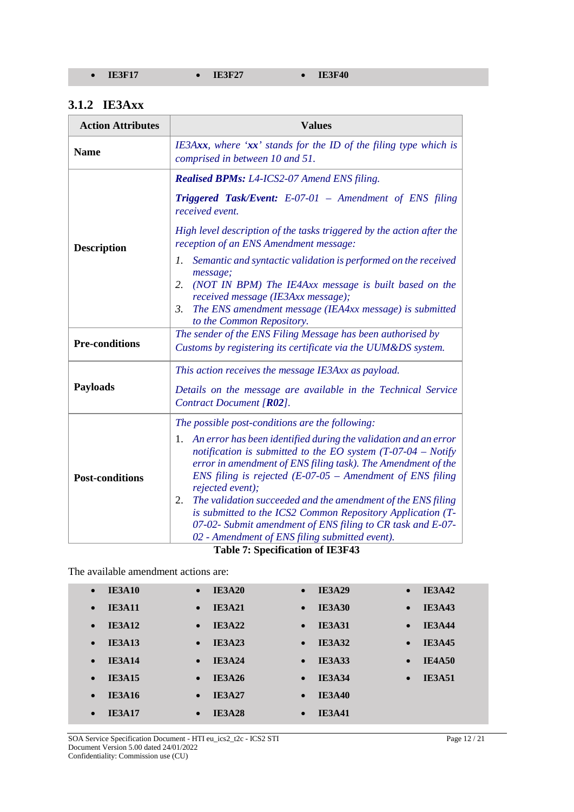#### **3.1.2 IE3Axx**

| <b>Action Attributes</b> | <b>Values</b>                                                                                                                                                                                                                                                                                                                                                  |  |  |  |
|--------------------------|----------------------------------------------------------------------------------------------------------------------------------------------------------------------------------------------------------------------------------------------------------------------------------------------------------------------------------------------------------------|--|--|--|
| <b>Name</b>              | IE3Axx, where ' $xx$ ' stands for the ID of the filing type which is<br>comprised in between 10 and 51.                                                                                                                                                                                                                                                        |  |  |  |
|                          | <b>Realised BPMs:</b> L4-ICS2-07 Amend ENS filing.                                                                                                                                                                                                                                                                                                             |  |  |  |
| <b>Description</b>       | <b>Triggered Task/Event:</b> E-07-01 – Amendment of ENS filing<br>received event.                                                                                                                                                                                                                                                                              |  |  |  |
|                          | High level description of the tasks triggered by the action after the<br>reception of an ENS Amendment message:                                                                                                                                                                                                                                                |  |  |  |
|                          | Semantic and syntactic validation is performed on the received<br>1.<br>message;                                                                                                                                                                                                                                                                               |  |  |  |
|                          | (NOT IN BPM) The IE4Axx message is built based on the<br>2.<br>received message (IE3Axx message);                                                                                                                                                                                                                                                              |  |  |  |
|                          | The ENS amendment message (IEA4xx message) is submitted<br>3.<br>to the Common Repository.                                                                                                                                                                                                                                                                     |  |  |  |
| <b>Pre-conditions</b>    | The sender of the ENS Filing Message has been authorised by<br>Customs by registering its certificate via the UUM&DS system.                                                                                                                                                                                                                                   |  |  |  |
|                          | This action receives the message IE3Axx as payload.                                                                                                                                                                                                                                                                                                            |  |  |  |
| <b>Payloads</b>          | Details on the message are available in the Technical Service<br>Contract Document [R02].                                                                                                                                                                                                                                                                      |  |  |  |
|                          | The possible post-conditions are the following:                                                                                                                                                                                                                                                                                                                |  |  |  |
| <b>Post-conditions</b>   | 1. An error has been identified during the validation and an error<br>notification is submitted to the EO system $(T-07-04 - Notify)$<br>error in amendment of ENS filing task). The Amendment of the<br>ENS filing is rejected $(E-07-05 -$ Amendment of ENS filing<br>rejected event);<br>The validation succeeded and the amendment of the ENS filing<br>2. |  |  |  |
|                          | is submitted to the ICS2 Common Repository Application (T-<br>07-02- Submit amendment of ENS filing to CR task and E-07-<br>02 - Amendment of ENS filing submitted event).                                                                                                                                                                                     |  |  |  |

**Table 7: Specification of IE3F43**

The available amendment actions are:

| <b>IE3A10</b> | <b>IE3A20</b> | <b>IE3A29</b> | <b>IE3A42</b> |
|---------------|---------------|---------------|---------------|
| $\bullet$     | $\bullet$     | $\bullet$     | $\bullet$     |
| <b>IE3A11</b> | <b>IE3A21</b> | <b>IE3A30</b> | <b>IE3A43</b> |
| $\bullet$     | $\bullet$     | $\bullet$     | $\bullet$     |
| <b>IE3A12</b> | <b>IE3A22</b> | <b>IE3A31</b> | <b>IE3A44</b> |
| $\bullet$     | $\bullet$     | $\bullet$     | $\bullet$     |
| <b>IE3A13</b> | <b>IE3A23</b> | <b>IE3A32</b> | <b>IE3A45</b> |
| $\bullet$     | $\bullet$     | $\bullet$     | $\bullet$     |
| <b>IE3A14</b> | <b>IE3A24</b> | <b>IE3A33</b> | <b>IE4A50</b> |
| $\bullet$     | $\bullet$     | $\bullet$     | $\bullet$     |
| <b>IE3A15</b> | <b>IE3A26</b> | <b>IE3A34</b> | <b>IE3A51</b> |
| $\bullet$     | $\bullet$     | $\bullet$     | $\bullet$     |
| <b>IE3A16</b> | <b>IE3A27</b> | <b>IE3A40</b> |               |
| $\bullet$     | $\bullet$     | $\bullet$     |               |
| <b>IE3A17</b> | <b>IE3A28</b> | <b>IE3A41</b> |               |
| $\bullet$     | $\bullet$     | $\bullet$     |               |

SOA Service Specification Document - HTI eu\_ics2\_t2c - ICS2 STI Page 12 / 21 Document Version 5.00 dated 24/01/2022 Confidentiality: Commission use (CU)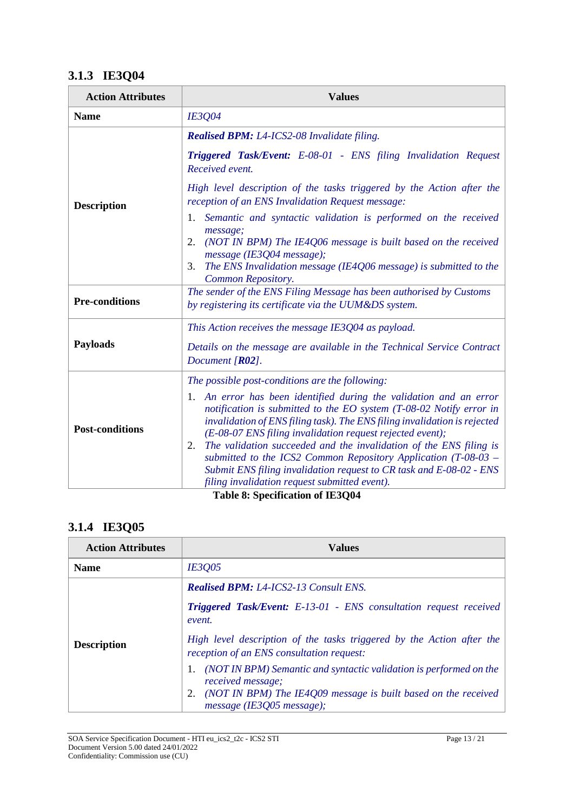### **3.1.3 IE3Q04**

| <b>Action Attributes</b> | <b>Values</b>                                                                                                                                                                                                                                                                                                                                                                                                                                                                                                                                                 |  |  |  |
|--------------------------|---------------------------------------------------------------------------------------------------------------------------------------------------------------------------------------------------------------------------------------------------------------------------------------------------------------------------------------------------------------------------------------------------------------------------------------------------------------------------------------------------------------------------------------------------------------|--|--|--|
| <b>Name</b>              | IE3Q04                                                                                                                                                                                                                                                                                                                                                                                                                                                                                                                                                        |  |  |  |
|                          | Realised BPM: L4-ICS2-08 Invalidate filing.                                                                                                                                                                                                                                                                                                                                                                                                                                                                                                                   |  |  |  |
| <b>Description</b>       | Triggered Task/Event: E-08-01 - ENS filing Invalidation Request<br>Received event.                                                                                                                                                                                                                                                                                                                                                                                                                                                                            |  |  |  |
|                          | High level description of the tasks triggered by the Action after the<br>reception of an ENS Invalidation Request message:                                                                                                                                                                                                                                                                                                                                                                                                                                    |  |  |  |
|                          | 1. Semantic and syntactic validation is performed on the received<br>message;<br>(NOT IN BPM) The IE4Q06 message is built based on the received<br>2.                                                                                                                                                                                                                                                                                                                                                                                                         |  |  |  |
|                          | message (IE3Q04 message);<br>The ENS Invalidation message (IE4Q06 message) is submitted to the<br>3.<br>Common Repository.                                                                                                                                                                                                                                                                                                                                                                                                                                    |  |  |  |
| <b>Pre-conditions</b>    | The sender of the ENS Filing Message has been authorised by Customs<br>by registering its certificate via the UUM&DS system.                                                                                                                                                                                                                                                                                                                                                                                                                                  |  |  |  |
|                          | This Action receives the message IE3Q04 as payload.                                                                                                                                                                                                                                                                                                                                                                                                                                                                                                           |  |  |  |
| <b>Payloads</b>          | Details on the message are available in the Technical Service Contract<br>Document $[R02]$ .                                                                                                                                                                                                                                                                                                                                                                                                                                                                  |  |  |  |
|                          | The possible post-conditions are the following:                                                                                                                                                                                                                                                                                                                                                                                                                                                                                                               |  |  |  |
| <b>Post-conditions</b>   | 1. An error has been identified during the validation and an error<br>notification is submitted to the EO system $(T-08-02$ Notify error in<br>invalidation of ENS filing task). The ENS filing invalidation is rejected<br>(E-08-07 ENS filing invalidation request rejected event);<br>The validation succeeded and the invalidation of the ENS filing is<br>2.<br>submitted to the ICS2 Common Repository Application $(T-08-03 -$<br>Submit ENS filing invalidation request to CR task and E-08-02 - ENS<br>filing invalidation request submitted event). |  |  |  |

**Table 8: Specification of IE3Q04**

### **3.1.4 IE3Q05**

| <b>Action Attributes</b> | <b>Values</b>                                                                                                      |  |  |
|--------------------------|--------------------------------------------------------------------------------------------------------------------|--|--|
| <b>Name</b>              | IE3Q05                                                                                                             |  |  |
|                          | <b>Realised BPM:</b> L4-ICS2-13 Consult ENS.                                                                       |  |  |
| <b>Description</b>       | <b>Triggered Task/Event:</b> E-13-01 - ENS consultation request received<br>event.                                 |  |  |
|                          | High level description of the tasks triggered by the Action after the<br>reception of an ENS consultation request: |  |  |
|                          | (NOT IN BPM) Semantic and syntactic validation is performed on the<br>received message;                            |  |  |
|                          | (NOT IN BPM) The IE4Q09 message is built based on the received<br>message (IE3005 message);                        |  |  |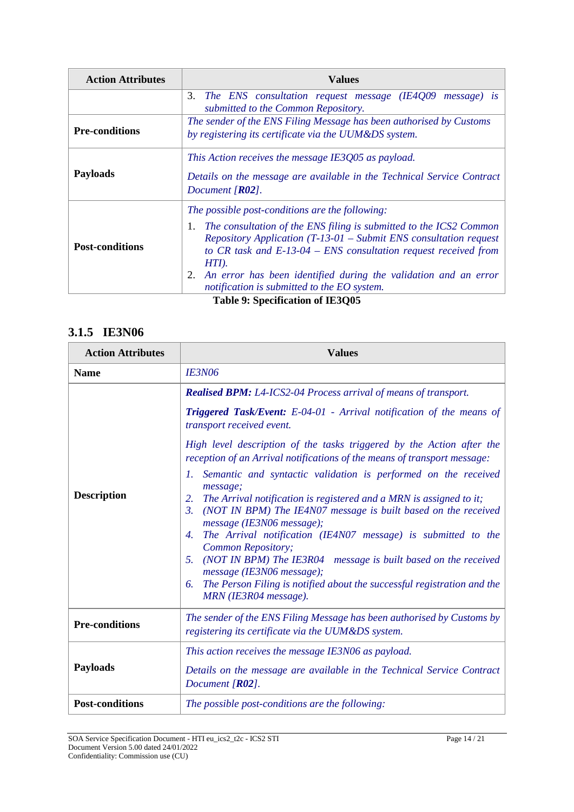| <b>Action Attributes</b> | <b>Values</b>                                                                                                                                                                                                                                                                                                                                                                                                  |  |  |  |  |  |
|--------------------------|----------------------------------------------------------------------------------------------------------------------------------------------------------------------------------------------------------------------------------------------------------------------------------------------------------------------------------------------------------------------------------------------------------------|--|--|--|--|--|
|                          | 3.<br>The ENS consultation request message (IE4Q09 message) is<br>submitted to the Common Repository.                                                                                                                                                                                                                                                                                                          |  |  |  |  |  |
| <b>Pre-conditions</b>    | The sender of the ENS Filing Message has been authorised by Customs<br>by registering its certificate via the UUM&DS system.                                                                                                                                                                                                                                                                                   |  |  |  |  |  |
| <b>Payloads</b>          | This Action receives the message IE3Q05 as payload.<br>Details on the message are available in the Technical Service Contract<br>Document $[R02]$ .                                                                                                                                                                                                                                                            |  |  |  |  |  |
| <b>Post-conditions</b>   | The possible post-conditions are the following:<br>The consultation of the ENS filing is submitted to the ICS2 Common<br>1.<br><i>Repository Application (T-13-01 – Submit ENS consultation request</i><br>to CR task and $E$ -13-04 – ENS consultation request received from<br>HTI).<br>An error has been identified during the validation and an error<br>2.<br>notification is submitted to the EO system. |  |  |  |  |  |

#### **Table 9: Specification of IE3Q05**

### **3.1.5 IE3N06**

| <b>Action Attributes</b> | <b>Values</b>                                                                                                                                                                         |  |  |
|--------------------------|---------------------------------------------------------------------------------------------------------------------------------------------------------------------------------------|--|--|
| <b>Name</b>              | <b>IE3N06</b>                                                                                                                                                                         |  |  |
| <b>Description</b>       | <b>Realised BPM:</b> L4-ICS2-04 Process arrival of means of transport.                                                                                                                |  |  |
|                          | <b>Triggered Task/Event:</b> E-04-01 - Arrival notification of the means of<br>transport received event.                                                                              |  |  |
|                          | High level description of the tasks triggered by the Action after the<br>reception of an Arrival notifications of the means of transport message:                                     |  |  |
|                          | 1. Semantic and syntactic validation is performed on the received<br>message;                                                                                                         |  |  |
|                          | The Arrival notification is registered and a MRN is assigned to it;<br>2.<br>(NOT IN BPM) The IE4N07 message is built based on the received<br>$\beta$ .<br>message (IE3N06 message); |  |  |
|                          | The Arrival notification (IE4N07 message) is submitted to the<br>4.<br>Common Repository;                                                                                             |  |  |
|                          | (NOT IN BPM) The IE3R04 message is built based on the received<br>5.<br>message (IE3N06 message);                                                                                     |  |  |
|                          | The Person Filing is notified about the successful registration and the<br>6.<br>MRN (IE3R04 message).                                                                                |  |  |
| <b>Pre-conditions</b>    | The sender of the ENS Filing Message has been authorised by Customs by<br>registering its certificate via the UUM&DS system.                                                          |  |  |
|                          | This action receives the message IE3N06 as payload.                                                                                                                                   |  |  |
| <b>Payloads</b>          | Details on the message are available in the Technical Service Contract<br>Document [R02].                                                                                             |  |  |
| <b>Post-conditions</b>   | The possible post-conditions are the following:                                                                                                                                       |  |  |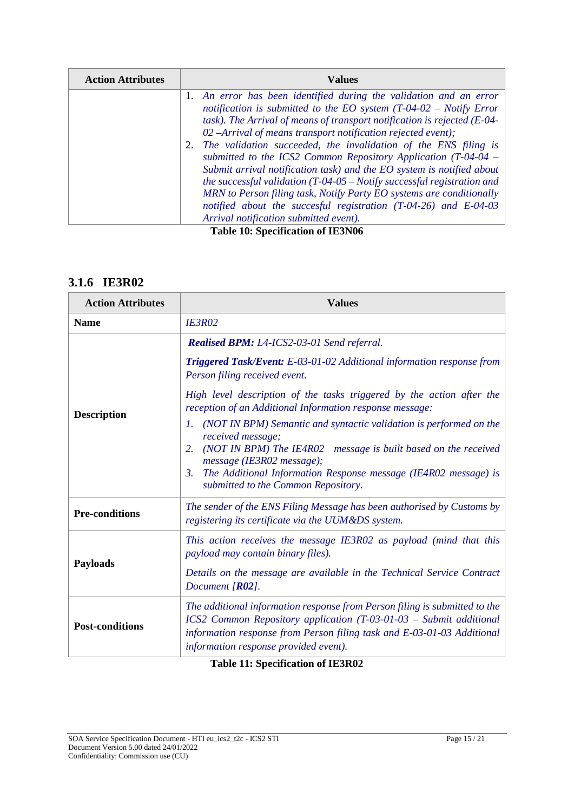| <b>Action Attributes</b> | Values                                                                                                                                                                                                                                                                                                                                                                                                                                                                                    |  |  |
|--------------------------|-------------------------------------------------------------------------------------------------------------------------------------------------------------------------------------------------------------------------------------------------------------------------------------------------------------------------------------------------------------------------------------------------------------------------------------------------------------------------------------------|--|--|
|                          | 1. An error has been identified during the validation and an error<br>notification is submitted to the EO system $(T-04-02 - Notify Error$<br>task). The Arrival of means of transport notification is rejected $(E-04$ -<br>02 -Arrival of means transport notification rejected event);                                                                                                                                                                                                 |  |  |
|                          | The validation succeeded, the invalidation of the ENS filing is<br>submitted to the ICS2 Common Repository Application $(T-04-04 -$<br>Submit arrival notification task) and the EO system is notified about<br>the successful validation $(T-04-05 - \text{Notify successful registration and}$<br>MRN to Person filing task, Notify Party EO systems are conditionally<br>notified about the succesful registration $(T-04-26)$ and $E-04-03$<br>Arrival notification submitted event). |  |  |

**Table 10: Specification of IE3N06**

### **3.1.6 IE3R02**

| <b>Action Attributes</b> | <b>Values</b>                                                                                                                                                                                                                                                       |  |  |
|--------------------------|---------------------------------------------------------------------------------------------------------------------------------------------------------------------------------------------------------------------------------------------------------------------|--|--|
| <b>Name</b>              | <b>IE3R02</b>                                                                                                                                                                                                                                                       |  |  |
| <b>Description</b>       | Realised BPM: L4-ICS2-03-01 Send referral.                                                                                                                                                                                                                          |  |  |
|                          | Triggered Task/Event: E-03-01-02 Additional information response from<br>Person filing received event.                                                                                                                                                              |  |  |
|                          | High level description of the tasks triggered by the action after the<br>reception of an Additional Information response message:                                                                                                                                   |  |  |
|                          | (NOT IN BPM) Semantic and syntactic validation is performed on the<br>L<br>received message;<br>(NOT IN BPM) The IE4R02 message is built based on the received<br>2.<br>message (IE3R02 message);                                                                   |  |  |
|                          | The Additional Information Response message (IE4R02 message) is<br>3.<br>submitted to the Common Repository.                                                                                                                                                        |  |  |
| <b>Pre-conditions</b>    | The sender of the ENS Filing Message has been authorised by Customs by<br>registering its certificate via the UUM&DS system.                                                                                                                                        |  |  |
| <b>Payloads</b>          | This action receives the message IE3R02 as payload (mind that this<br>payload may contain binary files).                                                                                                                                                            |  |  |
|                          | Details on the message are available in the Technical Service Contract<br>Document $[R02]$ .                                                                                                                                                                        |  |  |
| <b>Post-conditions</b>   | The additional information response from Person filing is submitted to the<br>ICS2 Common Repository application (T-03-01-03 - Submit additional<br>information response from Person filing task and E-03-01-03 Additional<br>information response provided event). |  |  |

**Table 11: Specification of IE3R02**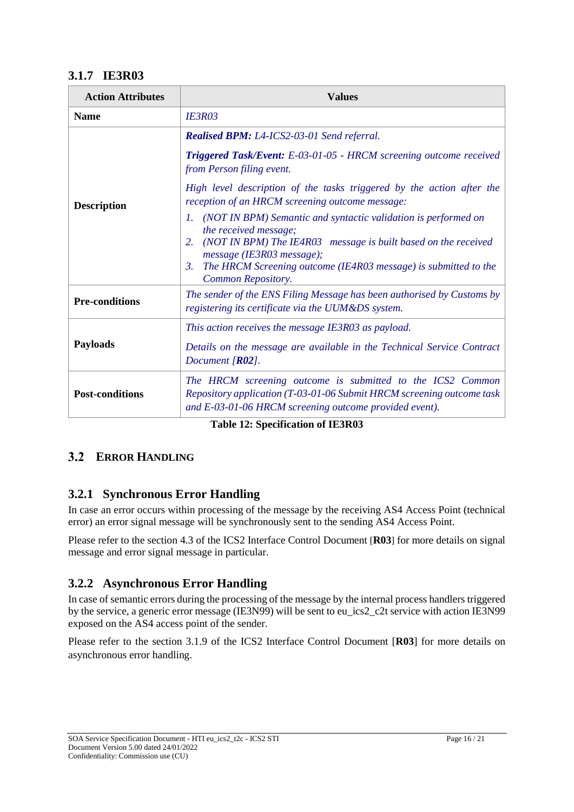### **3.1.7 IE3R03**

| <b>Action Attributes</b> | <b>Values</b>                                                                                                                                                                                                                                                                                  |  |  |
|--------------------------|------------------------------------------------------------------------------------------------------------------------------------------------------------------------------------------------------------------------------------------------------------------------------------------------|--|--|
| <b>Name</b>              | <b>IE3R03</b>                                                                                                                                                                                                                                                                                  |  |  |
| <b>Description</b>       | Realised BPM: L4-ICS2-03-01 Send referral.                                                                                                                                                                                                                                                     |  |  |
|                          | Triggered Task/Event: E-03-01-05 - HRCM screening outcome received<br>from Person filing event.                                                                                                                                                                                                |  |  |
|                          | High level description of the tasks triggered by the action after the<br>reception of an HRCM screening outcome message:                                                                                                                                                                       |  |  |
|                          | 1. (NOT IN BPM) Semantic and syntactic validation is performed on<br>the received message;<br>(NOT IN BPM) The IE4R03 message is built based on the received<br>2.<br>message (IE3R03 message);<br>The HRCM Screening outcome (IE4R03 message) is submitted to the<br>3.<br>Common Repository. |  |  |
| <b>Pre-conditions</b>    | The sender of the ENS Filing Message has been authorised by Customs by<br>registering its certificate via the UUM&DS system.                                                                                                                                                                   |  |  |
| <b>Payloads</b>          | This action receives the message IE3R03 as payload.<br>Details on the message are available in the Technical Service Contract<br>Document $[R02]$ .                                                                                                                                            |  |  |
| <b>Post-conditions</b>   | The HRCM screening outcome is submitted to the ICS2 Common<br>Repository application (T-03-01-06 Submit HRCM screening outcome task<br>and E-03-01-06 HRCM screening outcome provided event).                                                                                                  |  |  |

**Table 12: Specification of IE3R03**

### **ERROR HANDLING**

### **3.2.1 Synchronous Error Handling**

In case an error occurs within processing of the message by the receiving AS4 Access Point (technical error) an error signal message will be synchronously sent to the sending AS4 Access Point.

Please refer to the section 4.3 of the ICS2 Interface Control Document [**R03**] for more details on signal message and error signal message in particular.

### **3.2.2 Asynchronous Error Handling**

In case of semantic errors during the processing of the message by the internal process handlers triggered by the service, a generic error message (IE3N99) will be sent to eu\_ics2\_c2t service with action IE3N99 exposed on the AS4 access point of the sender.

Please refer to the section 3.1.9 of the ICS2 Interface Control Document [**R03**] for more details on asynchronous error handling.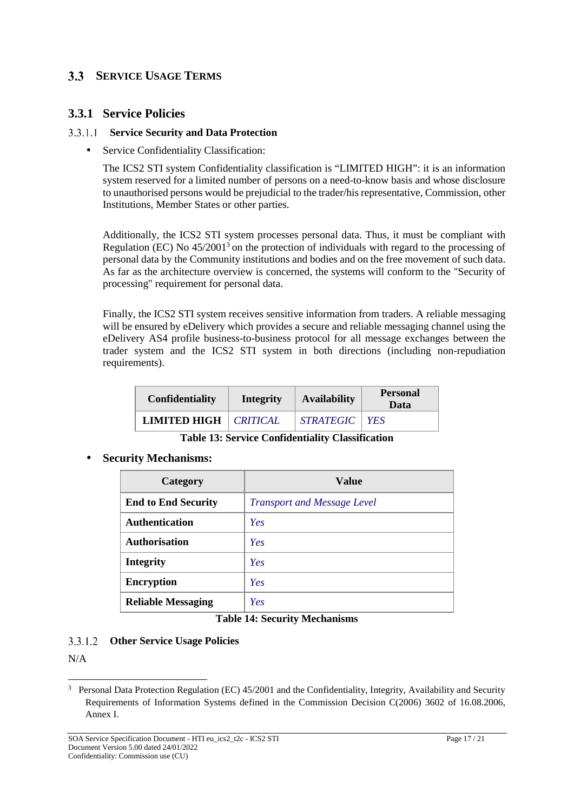### **SERVICE USAGE TERMS**

### **3.3.1 Service Policies**

#### **Service Security and Data Protection**

• Service Confidentiality Classification:

The ICS2 STI system Confidentiality classification is "LIMITED HIGH": it is an information system reserved for a limited number of persons on a need-to-know basis and whose disclosure to unauthorised persons would be prejudicial to the trader/his representative, Commission, other Institutions, Member States or other parties.

Additionally, the ICS2 STI system processes personal data. Thus, it must be compliant with Regulation (EC) No  $45/2001^3$  on the protection of individuals with regard to the processing of personal data by the Community institutions and bodies and on the free movement of such data. As far as the architecture overview is concerned, the systems will conform to the "Security of processing" requirement for personal data.

Finally, the ICS2 STI system receives sensitive information from traders. A reliable messaging will be ensured by eDelivery which provides a secure and reliable messaging channel using the eDelivery AS4 profile business-to-business protocol for all message exchanges between the trader system and the ICS2 STI system in both directions (including non-repudiation requirements).

| Confidentiality                | Integrity | <b>Availability</b> | <b>Personal</b><br>Data |
|--------------------------------|-----------|---------------------|-------------------------|
| <b>LIMITED HIGH</b>   CRITICAL |           | STRATEGIC   YES     |                         |

**Table 13: Service Confidentiality Classification**

• **Security Mechanisms:**

| Category                   | Value                              |
|----------------------------|------------------------------------|
| <b>End to End Security</b> | <b>Transport and Message Level</b> |
| <b>Authentication</b>      | Yes                                |
| <b>Authorisation</b>       | Yes                                |
| <b>Integrity</b>           | Yes                                |
| <b>Encryption</b>          | Yes                                |
| <b>Reliable Messaging</b>  | Yes                                |

#### **Table 14: Security Mechanisms**

#### **Other Service Usage Policies**

N/A

<sup>&</sup>lt;sup>3</sup> Personal Data Protection Regulation (EC) 45/2001 and the Confidentiality, Integrity, Availability and Security Requirements of Information Systems defined in the Commission Decision C(2006) 3602 of 16.08.2006, Annex I.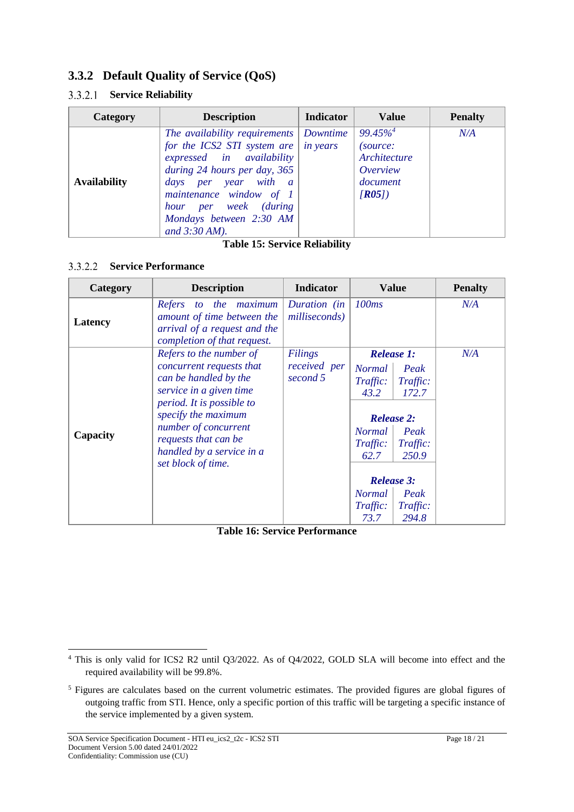### **3.3.2 Default Quality of Service (QoS)**

### **Service Reliability**

| Category            | <b>Description</b>                                                                                                                                                                                                                                  | <b>Indicator</b>            | <b>Value</b>                                                                        | <b>Penalty</b> |
|---------------------|-----------------------------------------------------------------------------------------------------------------------------------------------------------------------------------------------------------------------------------------------------|-----------------------------|-------------------------------------------------------------------------------------|----------------|
| <b>Availability</b> | The availability requirements<br>for the ICS2 STI system are<br>expressed in availability<br>during 24 hours per day, 365<br>days per year with a<br>maintenance window of 1<br>hour per week (during<br>Mondays between 2:30 AM<br>and $3:30$ AM). | Downtime<br><i>in years</i> | $99.45\%$ <sup>4</sup><br>(source:<br>Architecture<br>Overview<br>document<br>[RO5] | N/A            |

#### **Table 15: Service Reliability**

#### **Service Performance**

| Category | <b>Description</b>                                                                                                                                                                                                                                             | <b>Indicator</b>                    | <b>Value</b>                                                                                                                                                                                                                                                      | <b>Penalty</b> |
|----------|----------------------------------------------------------------------------------------------------------------------------------------------------------------------------------------------------------------------------------------------------------------|-------------------------------------|-------------------------------------------------------------------------------------------------------------------------------------------------------------------------------------------------------------------------------------------------------------------|----------------|
| Latency  | to the maximum<br>Refers<br>amount of time between the<br>arrival of a request and the<br>completion of that request.                                                                                                                                          | Duration (in<br>milliseconds)       | 100 <sub>ms</sub>                                                                                                                                                                                                                                                 | N/A            |
| Capacity | Refers to the number of<br>concurrent requests that<br>can be handled by the<br>service in a given time<br>period. It is possible to<br>specify the maximum<br>number of concurrent<br>requests that can be<br>handled by a service in a<br>set block of time. | Filings<br>received per<br>second 5 | <b>Release 1:</b><br><b>Normal</b><br>Peak<br>Traffic:<br>Traffic:<br>172.7<br>43.2<br><b>Release 2:</b><br>Normal<br>Peak<br>Traffic:<br>$\mid$ Traffic:<br>62.7<br>250.9<br><b>Release 3:</b><br><i>Normal</i><br>Peak<br>Traffic:<br>Traffic:<br>294.8<br>73.7 | N/A            |

**Table 16: Service Performance**

<sup>4</sup> This is only valid for ICS2 R2 until Q3/2022. As of Q4/2022, GOLD SLA will become into effect and the required availability will be 99.8%.

<sup>5</sup> Figures are calculates based on the current volumetric estimates. The provided figures are global figures of outgoing traffic from STI. Hence, only a specific portion of this traffic will be targeting a specific instance of the service implemented by a given system.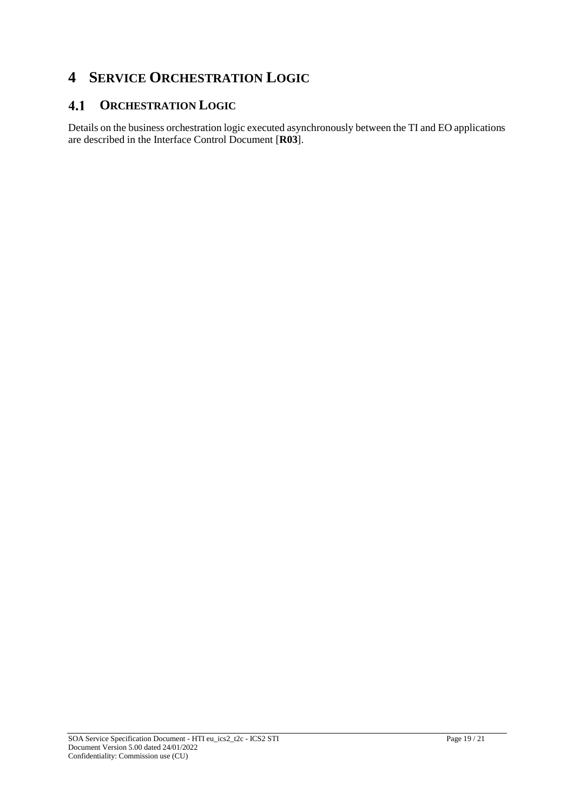### **4 SERVICE ORCHESTRATION LOGIC**

#### **ORCHESTRATION LOGIC**  $4.1$

Details on the business orchestration logic executed asynchronously between the TI and EO applications are described in the Interface Control Document [**R03**].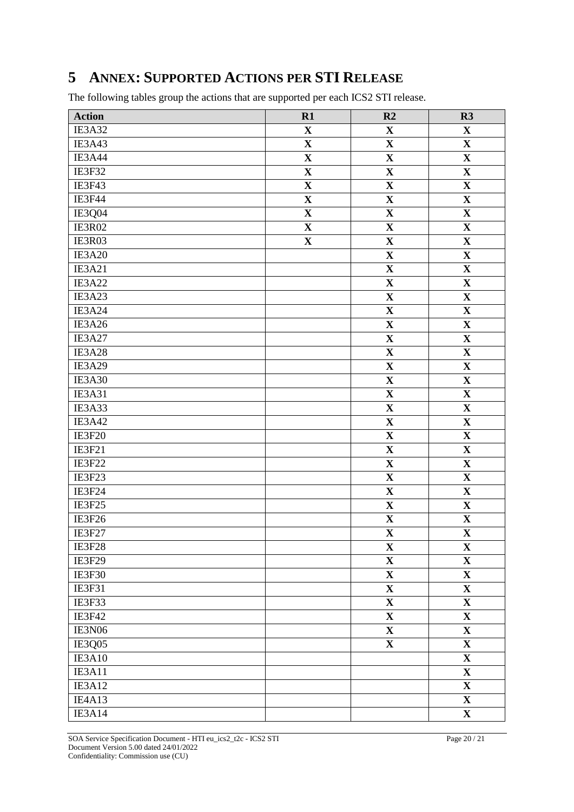### **5 ANNEX: SUPPORTED ACTIONS PER STI RELEASE**

The following tables group the actions that are supported per each ICS2 STI release.

| <b>Action</b>       | R1          | R2                      | R3                      |
|---------------------|-------------|-------------------------|-------------------------|
| IE3A32              | $\mathbf X$ | $\mathbf X$             | $\mathbf X$             |
| IE3A43              | $\mathbf X$ | $\mathbf X$             | $\mathbf{X}$            |
| IE3A44              | $\mathbf X$ | $\mathbf X$             | $\mathbf X$             |
| IE3F32              | $\mathbf X$ | $\mathbf X$             | $\mathbf X$             |
| IE3F43              | $\mathbf X$ | $\mathbf X$             | $\mathbf X$             |
| IE3F44              | $\mathbf X$ | $\mathbf X$             | $\mathbf X$             |
| IE3Q04              | $\mathbf X$ | $\overline{\mathbf{X}}$ | $\overline{\mathbf{X}}$ |
| IE3R02              | $\mathbf X$ | $\mathbf X$             | $\mathbf X$             |
| IE3R03              | $\mathbf X$ | $\mathbf X$             | $\mathbf X$             |
| IE3A20              |             | $\mathbf X$             | $\mathbf X$             |
| IE3A21              |             | $\mathbf X$             | $\mathbf X$             |
| IE3A22              |             | $\mathbf X$             | $\mathbf X$             |
| IE3A23              |             | $\mathbf X$             | $\mathbf X$             |
| IE3A24              |             | $\mathbf X$             | $\mathbf X$             |
| $\overline{1E3A26}$ |             | $\mathbf X$             | $\mathbf X$             |
| IE3A27              |             | $\overline{\mathbf{X}}$ | $\mathbf X$             |
| IE3A28              |             | $\mathbf X$             | $\mathbf X$             |
| IE3A29              |             | $\mathbf X$             | $\mathbf X$             |
| IE3A30              |             | $\mathbf X$             | $\mathbf X$             |
| IE3A31              |             | $\mathbf X$             | $\mathbf X$             |
| IE3A33              |             | $\mathbf X$             | $\mathbf X$             |
| IE3A42              |             | $\mathbf X$             | $\mathbf{X}$            |
| IE3F20              |             | $\overline{\mathbf{X}}$ | $\overline{\mathbf{X}}$ |
| <b>IE3F21</b>       |             | $\mathbf X$             | $\mathbf X$             |
| IE3F22              |             | $\overline{\mathbf{X}}$ | $\overline{\mathbf{X}}$ |
| IE3F23              |             | $\mathbf X$             | $\mathbf X$             |
| IE3F24              |             | $\mathbf X$             | $\mathbf X$             |
| IE3F25              |             | $\mathbf X$             | $\mathbf X$             |
| IE3F26              |             | $\mathbf X$             | $\mathbf X$             |
| IE3F27              |             | $\mathbf{X}$            | $\mathbf X$             |
| IE3F28              |             | $\mathbf X$             | $\mathbf X$             |
| IE3F29              |             | $\overline{\mathbf{X}}$ | $\overline{\mathbf{X}}$ |
| IE3F30              |             | $\mathbf X$             | $\mathbf X$             |
| <b>IE3F31</b>       |             | $\mathbf X$             | $\mathbf X$             |
| IE3F33              |             | $\mathbf X$             | $\mathbf X$             |
| IE3F42              |             | $\mathbf X$             | $\mathbf X$             |
| IE3N06              |             | $\mathbf{X}$            | $\mathbf{X}$            |
| IE3Q05              |             | $\mathbf X$             | $\mathbf X$             |
| IE3A10              |             |                         | $\mathbf X$             |
| IE3A11              |             |                         | $\mathbf X$             |
| IE3A12              |             |                         | $\mathbf X$             |
| IE4A13              |             |                         | $\mathbf{X}$            |
| IE3A14              |             |                         | $\mathbf X$             |

SOA Service Specification Document - HTI eu\_ics2\_t2c - ICS2 STI Page 20 / 21 Document Version 5.00 dated 24/01/2022 Confidentiality: Commission use (CU)